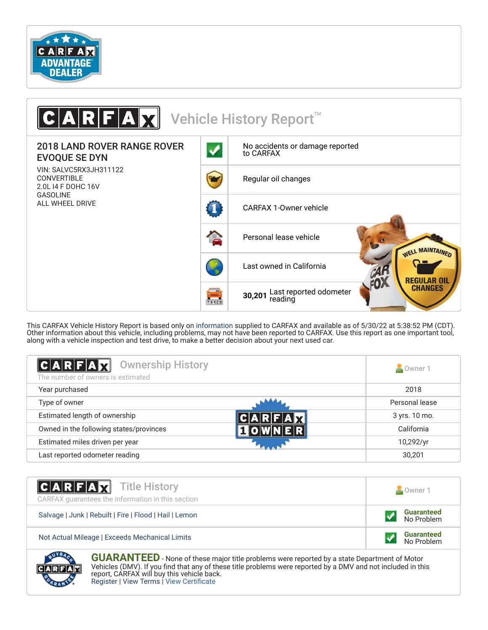



This CARFAX Vehicle History Report is based only on [information](http://www.carfax.com/company/vhr-data-sources) supplied to CARFAX and available as of 5/30/22 at 5:38:52 PM (CDT). Other information about this vehicle, including problems, may not have been reported to CARFAX. Use this report as one important tool, along with a vehicle inspection and test drive, to make a better decision about your next used car.

<span id="page-0-0"></span>

| <b>Ownership History</b><br>$ {\bf A} {\bf R} $ ${\bf F} {\bf A} {\bf M} $<br>The number of owners is estimated | Owner 1        |
|-----------------------------------------------------------------------------------------------------------------|----------------|
| Year purchased                                                                                                  | 2018           |
| Type of owner                                                                                                   | Personal lease |
| Estimated length of ownership<br>IAX<br>A R F                                                                   | 3 yrs. 10 mo.  |
| Owned in the following states/provinces                                                                         | California     |
| Estimated miles driven per year                                                                                 | 10,292/yr      |
| Last reported odometer reading                                                                                  | 30,201         |

| <b>CARFAX</b> Title History<br>CARFAX quarantees the information in this section | Owner 1                         |
|----------------------------------------------------------------------------------|---------------------------------|
| Salvage   Junk   Rebuilt   Fire   Flood   Hail   Lemon                           | <b>Guaranteed</b><br>No Problem |
| Not Actual Mileage   Exceeds Mechanical Limits                                   | <b>Guaranteed</b><br>No Problem |



**GUARANTEED** - None of these major title problems were reported by a state Department of Motor Vehicles (DMV). If you find that any of these title problems were reported by a DMV and not included in this report, CARFAX will buy this vehicle back. [Register](https://www.carfax.com/Service/bbg) | [View Terms](http://www.carfaxonline.com/legal/bbgTerms) | [View Certificate](https://www.carfaxonline.com/vhrs/SALVC5RX3JH311122)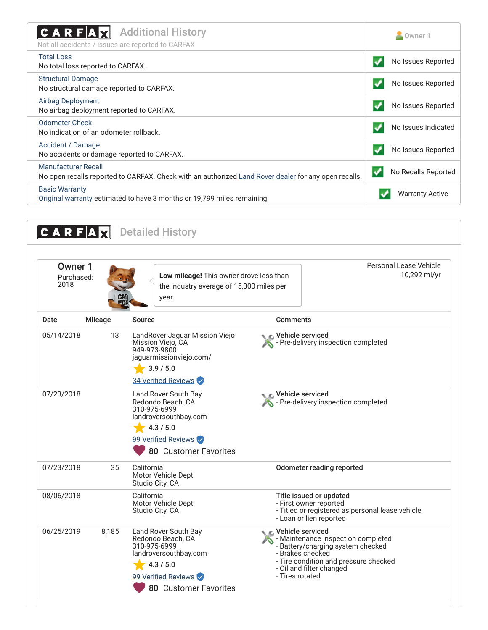<span id="page-1-0"></span>

| <b>Additional History</b><br>$A$ $R$ $F$<br>Not all accidents / issues are reported to CARFAX                                      | Owner 1                  |
|------------------------------------------------------------------------------------------------------------------------------------|--------------------------|
| <b>Total Loss</b><br>No total loss reported to CARFAX.                                                                             | No Issues Reported       |
| <b>Structural Damage</b><br>No structural damage reported to CARFAX.                                                               | No Issues Reported       |
| Airbag Deployment<br>No airbag deployment reported to CARFAX.                                                                      | No Issues Reported       |
| <b>Odometer Check</b><br>No indication of an odometer rollback.                                                                    | No Issues Indicated      |
| Accident / Damage<br>No accidents or damage reported to CARFAX.                                                                    | No Issues Reported<br>✔  |
| <b>Manufacturer Recall</b><br>No open recalls reported to CARFAX. Check with an authorized Land Rover dealer for any open recalls. | No Recalls Reported<br>✔ |
| <b>Basic Warranty</b><br>Original warranty estimated to have 3 months or 19,799 miles remaining.                                   | <b>Warranty Active</b>   |

<span id="page-1-1"></span>

| $C A R F A \chi $             |                | <b>Detailed History</b>                                                                                                                         |                                                                                                                                                                                                           |
|-------------------------------|----------------|-------------------------------------------------------------------------------------------------------------------------------------------------|-----------------------------------------------------------------------------------------------------------------------------------------------------------------------------------------------------------|
| Owner 1<br>Purchased:<br>2018 |                | Low mileage! This owner drove less than<br>the industry average of 15,000 miles per<br>year.                                                    | Personal Lease Vehicle<br>10,292 mi/yr                                                                                                                                                                    |
| Date                          | <b>Mileage</b> | Source                                                                                                                                          | <b>Comments</b>                                                                                                                                                                                           |
| 05/14/2018                    | 13             | LandRover Jaguar Mission Viejo<br>Mission Viejo, CA<br>949-973-9800<br>jaguarmissionviejo.com/<br>3.9 / 5.0<br>34 Verified Reviews              | Vehicle serviced<br>- Pre-delivery inspection completed                                                                                                                                                   |
| 07/23/2018                    |                | Land Rover South Bay<br>Redondo Beach, CA<br>310-975-6999<br>landroversouthbay.com<br>4.3 / 5.0<br>99 Verified Reviews<br>80 Customer Favorites | C Vehicle serviced<br>- Pre-delivery inspection completed                                                                                                                                                 |
| 07/23/2018                    | 35             | California<br>Motor Vehicle Dept.<br>Studio City, CA                                                                                            | <b>Odometer reading reported</b>                                                                                                                                                                          |
| 08/06/2018                    |                | California<br>Motor Vehicle Dept.<br>Studio City, CA                                                                                            | Title issued or updated<br>- First owner reported<br>- Titled or registered as personal lease vehicle<br>- Loan or lien reported                                                                          |
| 06/25/2019                    | 8,185          | Land Rover South Bay<br>Redondo Beach, CA<br>310-975-6999<br>landroversouthbay.com<br>4.3 / 5.0<br>99 Verified Reviews<br>80 Customer Favorites | C Vehicle serviced<br>- Maintenance inspection completed<br>- Battery/charging system checked<br>- Brakes checked<br>- Tire condition and pressure checked<br>- Oil and filter changed<br>- Tires rotated |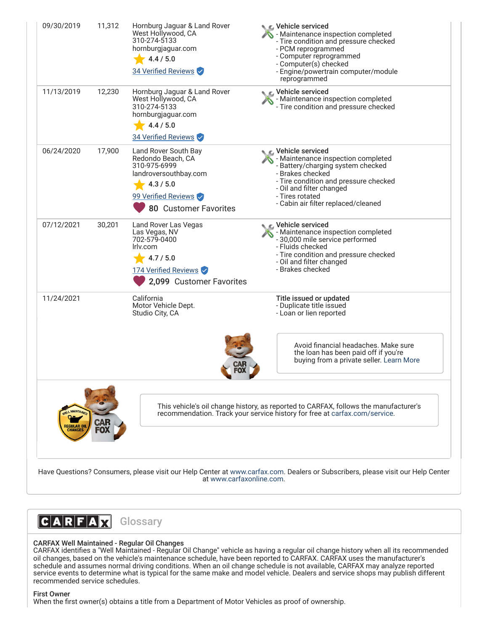| 09/30/2019                           | 11,312  | Hornburg Jaguar & Land Rover<br>West Hollywood, CA<br>310-274-5133<br>hornburgjaguar.com<br>4.4 / 5.0<br>34 Verified Reviews                           | C Vehicle serviced<br>- Maintenance inspection completed<br>- Tire condition and pressure checked<br>- PCM reprogrammed<br>- Computer reprogrammed<br>- Computer(s) checked<br>- Engine/powertrain computer/module<br>reprogrammed                      |
|--------------------------------------|---------|--------------------------------------------------------------------------------------------------------------------------------------------------------|---------------------------------------------------------------------------------------------------------------------------------------------------------------------------------------------------------------------------------------------------------|
| 11/13/2019                           | 12,230  | Hornburg Jaguar & Land Rover<br>West Hollywood, CA<br>310-274-5133<br>hornburgjaguar.com<br>4.4 / 5.0<br>34 Verified Reviews                           | C Vehicle serviced<br>- Maintenance inspection completed<br>- Tire condition and pressure checked                                                                                                                                                       |
| 06/24/2020                           | 17,900  | Land Rover South Bay<br>Redondo Beach, CA<br>310-975-6999<br>landroversouthbay.com<br>4.3 / 5.0<br>99 Verified Reviews<br><b>80 Customer Favorites</b> | <b>€</b> Vehicle serviced<br>- Maintenance inspection completed<br>- Battery/charging system checked<br>- Brakes checked<br>- Tire condition and pressure checked<br>- Oil and filter changed<br>- Tires rotated<br>- Cabin air filter replaced/cleaned |
| 07/12/2021                           | 30,201  | Land Rover Las Vegas<br>Las Vegas, NV<br>702-579-0400<br>Irly.com<br>4.7 / 5.0<br>174 Verified Reviews<br>2,099 Customer Favorites                     | C Vehicle serviced<br>- Maintenance inspection completed<br>- 30,000 mile service performed<br>- Fluids checked<br>- Tire condition and pressure checked<br>- Oil and filter changed<br>- Brakes checked                                                |
| 11/24/2021                           |         | California<br>Motor Vehicle Dept.<br>Studio City, CA                                                                                                   | Title issued or updated<br>- Duplicate title issued<br>- Loan or lien reported                                                                                                                                                                          |
|                                      |         |                                                                                                                                                        | Avoid financial headaches. Make sure<br>the loan has been paid off if you're<br>buying from a private seller. Learn More                                                                                                                                |
| <b>≀EGULAR OII</b><br><b>CHANGES</b> | ี่ ส () |                                                                                                                                                        | This vehicle's oil change history, as reported to CARFAX, follows the manufacturer's<br>recommendation. Track your service history for free at carfax.com/service.                                                                                      |
|                                      |         |                                                                                                                                                        | Have Questions? Consumers, please visit our Help Center at www.carfax.com. Dealers or Subscribers, please visit our Help Center                                                                                                                         |

at [www.carfaxonline.com](http://www.carfaxonline.com/).

**CARFAX** Glossary

## CARFAX Well Maintained - Regular Oil Changes

CARFAX identifies a "Well Maintained - Regular Oil Change" vehicle as having a regular oil change history when all its recommended oil changes, based on the vehicle's maintenance schedule, have been reported to CARFAX. CARFAX uses the manufacturer's schedule and assumes normal driving conditions. When an oil change schedule is not available, CARFAX may analyze reported service events to determine what is typical for the same make and model vehicle. Dealers and service shops may publish different recommended service schedules.

## First Owner

When the first owner(s) obtains a title from a Department of Motor Vehicles as proof of ownership.